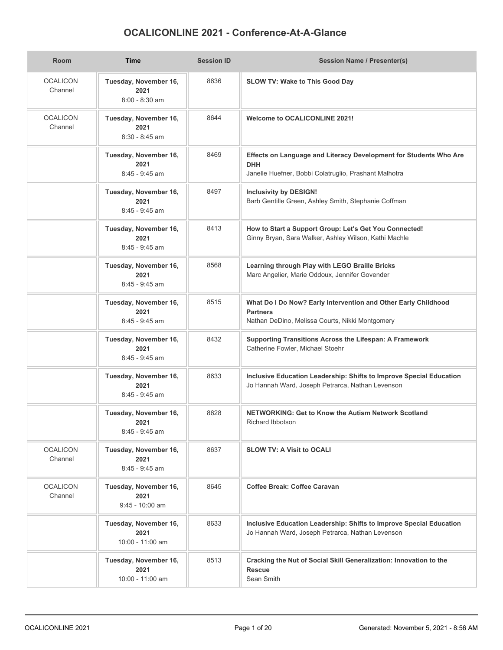## **OCALICONLINE 2021 - Conference-At-A-Glance**

| Room                       | <b>Time</b>                                        | <b>Session ID</b> | <b>Session Name / Presenter(s)</b>                                                                                                       |
|----------------------------|----------------------------------------------------|-------------------|------------------------------------------------------------------------------------------------------------------------------------------|
| <b>OCALICON</b><br>Channel | Tuesday, November 16,<br>2021<br>$8:00 - 8:30$ am  | 8636              | SLOW TV: Wake to This Good Day                                                                                                           |
| <b>OCALICON</b><br>Channel | Tuesday, November 16,<br>2021<br>$8:30 - 8:45$ am  | 8644              | <b>Welcome to OCALICONLINE 2021!</b>                                                                                                     |
|                            | Tuesday, November 16,<br>2021<br>8:45 - 9:45 am    | 8469              | Effects on Language and Literacy Development for Students Who Are<br><b>DHH</b><br>Janelle Huefner, Bobbi Colatruglio, Prashant Malhotra |
|                            | Tuesday, November 16,<br>2021<br>$8:45 - 9:45$ am  | 8497              | <b>Inclusivity by DESIGN!</b><br>Barb Gentille Green, Ashley Smith, Stephanie Coffman                                                    |
|                            | Tuesday, November 16,<br>2021<br>8:45 - 9:45 am    | 8413              | How to Start a Support Group: Let's Get You Connected!<br>Ginny Bryan, Sara Walker, Ashley Wilson, Kathi Machle                          |
|                            | Tuesday, November 16,<br>2021<br>$8:45 - 9:45$ am  | 8568              | Learning through Play with LEGO Braille Bricks<br>Marc Angelier, Marie Oddoux, Jennifer Govender                                         |
|                            | Tuesday, November 16,<br>2021<br>$8:45 - 9:45$ am  | 8515              | What Do I Do Now? Early Intervention and Other Early Childhood<br><b>Partners</b><br>Nathan DeDino, Melissa Courts, Nikki Montgomery     |
|                            | Tuesday, November 16,<br>2021<br>$8:45 - 9:45$ am  | 8432              | Supporting Transitions Across the Lifespan: A Framework<br>Catherine Fowler, Michael Stoehr                                              |
|                            | Tuesday, November 16,<br>2021<br>$8:45 - 9:45$ am  | 8633              | Inclusive Education Leadership: Shifts to Improve Special Education<br>Jo Hannah Ward, Joseph Petrarca, Nathan Levenson                  |
|                            | Tuesday, November 16,<br>2021<br>$8:45 - 9:45$ am  | 8628              | NETWORKING: Get to Know the Autism Network Scotland<br>Richard Ibbotson                                                                  |
| <b>OCALICON</b><br>Channel | Tuesday, November 16,<br>2021<br>$8:45 - 9:45$ am  | 8637              | <b>SLOW TV: A Visit to OCALI</b>                                                                                                         |
| <b>OCALICON</b><br>Channel | Tuesday, November 16,<br>2021<br>$9:45 - 10:00$ am | 8645              | Coffee Break: Coffee Caravan                                                                                                             |
|                            | Tuesday, November 16,<br>2021<br>10:00 - 11:00 am  | 8633              | Inclusive Education Leadership: Shifts to Improve Special Education<br>Jo Hannah Ward, Joseph Petrarca, Nathan Levenson                  |
|                            | Tuesday, November 16,<br>2021<br>10:00 - 11:00 am  | 8513              | Cracking the Nut of Social Skill Generalization: Innovation to the<br><b>Rescue</b><br>Sean Smith                                        |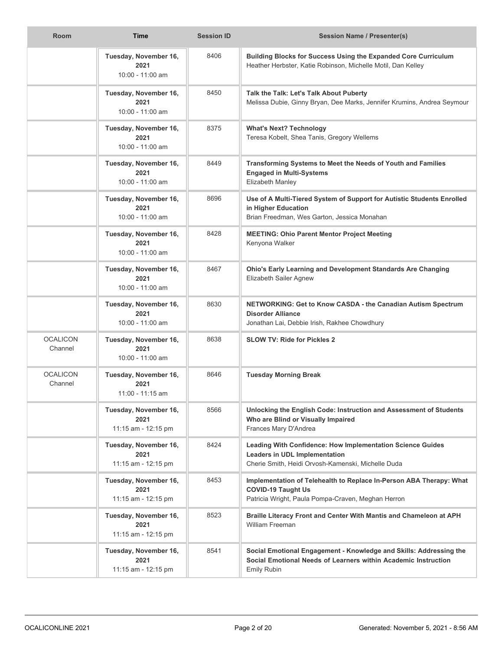| <b>Room</b>                | <b>Time</b>                                          | <b>Session ID</b> | <b>Session Name / Presenter(s)</b>                                                                                                                       |
|----------------------------|------------------------------------------------------|-------------------|----------------------------------------------------------------------------------------------------------------------------------------------------------|
|                            | Tuesday, November 16,<br>2021<br>10:00 - 11:00 am    | 8406              | Building Blocks for Success Using the Expanded Core Curriculum<br>Heather Herbster, Katie Robinson, Michelle Motil, Dan Kelley                           |
|                            | Tuesday, November 16,<br>2021<br>10:00 - 11:00 am    | 8450              | Talk the Talk: Let's Talk About Puberty<br>Melissa Dubie, Ginny Bryan, Dee Marks, Jennifer Krumins, Andrea Seymour                                       |
|                            | Tuesday, November 16,<br>2021<br>10:00 - 11:00 am    | 8375              | <b>What's Next? Technology</b><br>Teresa Kobelt, Shea Tanis, Gregory Wellems                                                                             |
|                            | Tuesday, November 16,<br>2021<br>10:00 - 11:00 am    | 8449              | Transforming Systems to Meet the Needs of Youth and Families<br><b>Engaged in Multi-Systems</b><br>Elizabeth Manley                                      |
|                            | Tuesday, November 16,<br>2021<br>10:00 - 11:00 am    | 8696              | Use of A Multi-Tiered System of Support for Autistic Students Enrolled<br>in Higher Education<br>Brian Freedman, Wes Garton, Jessica Monahan             |
|                            | Tuesday, November 16,<br>2021<br>10:00 - 11:00 am    | 8428              | <b>MEETING: Ohio Parent Mentor Project Meeting</b><br>Kenyona Walker                                                                                     |
|                            | Tuesday, November 16,<br>2021<br>10:00 - 11:00 am    | 8467              | Ohio's Early Learning and Development Standards Are Changing<br>Elizabeth Sailer Agnew                                                                   |
|                            | Tuesday, November 16,<br>2021<br>$10:00 - 11:00$ am  | 8630              | NETWORKING: Get to Know CASDA - the Canadian Autism Spectrum<br><b>Disorder Alliance</b><br>Jonathan Lai, Debbie Irish, Rakhee Chowdhury                 |
| <b>OCALICON</b><br>Channel | Tuesday, November 16,<br>2021<br>10:00 - 11:00 am    | 8638              | <b>SLOW TV: Ride for Pickles 2</b>                                                                                                                       |
| <b>OCALICON</b><br>Channel | Tuesday, November 16,<br>2021<br>11:00 - 11:15 am    | 8646              | <b>Tuesday Morning Break</b>                                                                                                                             |
|                            | Tuesday, November 16,<br>2021<br>11:15 am - 12:15 pm | 8566              | Unlocking the English Code: Instruction and Assessment of Students<br>Who are Blind or Visually Impaired<br>Frances Mary D'Andrea                        |
|                            | Tuesday, November 16,<br>2021<br>11:15 am - 12:15 pm | 8424              | Leading With Confidence: How Implementation Science Guides<br><b>Leaders in UDL Implementation</b><br>Cherie Smith, Heidi Orvosh-Kamenski, Michelle Duda |
|                            | Tuesday, November 16,<br>2021<br>11:15 am - 12:15 pm | 8453              | Implementation of Telehealth to Replace In-Person ABA Therapy: What<br><b>COVID-19 Taught Us</b><br>Patricia Wright, Paula Pompa-Craven, Meghan Herron   |
|                            | Tuesday, November 16,<br>2021<br>11:15 am - 12:15 pm | 8523              | Braille Literacy Front and Center With Mantis and Chameleon at APH<br>William Freeman                                                                    |
|                            | Tuesday, November 16,<br>2021<br>11:15 am - 12:15 pm | 8541              | Social Emotional Engagement - Knowledge and Skills: Addressing the<br>Social Emotional Needs of Learners within Academic Instruction<br>Emily Rubin      |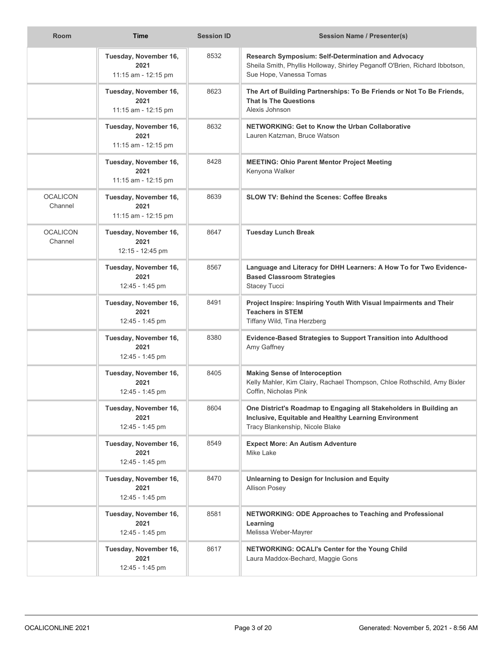| <b>Room</b>                | <b>Time</b>                                          | <b>Session ID</b> | Session Name / Presenter(s)                                                                                                                                    |
|----------------------------|------------------------------------------------------|-------------------|----------------------------------------------------------------------------------------------------------------------------------------------------------------|
|                            | Tuesday, November 16,<br>2021<br>11:15 am - 12:15 pm | 8532              | Research Symposium: Self-Determination and Advocacy<br>Sheila Smith, Phyllis Holloway, Shirley Peganoff O'Brien, Richard Ibbotson,<br>Sue Hope, Vanessa Tomas  |
|                            | Tuesday, November 16,<br>2021<br>11:15 am - 12:15 pm | 8623              | The Art of Building Partnerships: To Be Friends or Not To Be Friends,<br><b>That Is The Questions</b><br>Alexis Johnson                                        |
|                            | Tuesday, November 16,<br>2021<br>11:15 am - 12:15 pm | 8632              | <b>NETWORKING: Get to Know the Urban Collaborative</b><br>Lauren Katzman, Bruce Watson                                                                         |
|                            | Tuesday, November 16,<br>2021<br>11:15 am - 12:15 pm | 8428              | <b>MEETING: Ohio Parent Mentor Project Meeting</b><br>Kenyona Walker                                                                                           |
| <b>OCALICON</b><br>Channel | Tuesday, November 16,<br>2021<br>11:15 am - 12:15 pm | 8639              | <b>SLOW TV: Behind the Scenes: Coffee Breaks</b>                                                                                                               |
| <b>OCALICON</b><br>Channel | Tuesday, November 16,<br>2021<br>12:15 - 12:45 pm    | 8647              | <b>Tuesday Lunch Break</b>                                                                                                                                     |
|                            | Tuesday, November 16,<br>2021<br>12:45 - 1:45 pm     | 8567              | Language and Literacy for DHH Learners: A How To for Two Evidence-<br><b>Based Classroom Strategies</b><br><b>Stacey Tucci</b>                                 |
|                            | Tuesday, November 16,<br>2021<br>12:45 - 1:45 pm     | 8491              | Project Inspire: Inspiring Youth With Visual Impairments and Their<br><b>Teachers in STEM</b><br>Tiffany Wild, Tina Herzberg                                   |
|                            | Tuesday, November 16,<br>2021<br>12:45 - 1:45 pm     | 8380              | Evidence-Based Strategies to Support Transition into Adulthood<br>Amy Gaffney                                                                                  |
|                            | Tuesday, November 16,<br>2021<br>12:45 - 1:45 pm     | 8405              | <b>Making Sense of Interoception</b><br>Kelly Mahler, Kim Clairy, Rachael Thompson, Chloe Rothschild, Amy Bixler<br>Coffin, Nicholas Pink                      |
|                            | Tuesday, November 16,<br>2021<br>12:45 - 1:45 pm     | 8604              | One District's Roadmap to Engaging all Stakeholders in Building an<br>Inclusive, Equitable and Healthy Learning Environment<br>Tracy Blankenship, Nicole Blake |
|                            | Tuesday, November 16,<br>2021<br>12:45 - 1:45 pm     | 8549              | <b>Expect More: An Autism Adventure</b><br>Mike Lake                                                                                                           |
|                            | Tuesday, November 16,<br>2021<br>12:45 - 1:45 pm     | 8470              | Unlearning to Design for Inclusion and Equity<br><b>Allison Posey</b>                                                                                          |
|                            | Tuesday, November 16,<br>2021<br>12:45 - 1:45 pm     | 8581              | <b>NETWORKING: ODE Approaches to Teaching and Professional</b><br>Learning<br>Melissa Weber-Mayrer                                                             |
|                            | Tuesday, November 16,<br>2021<br>12:45 - 1:45 pm     | 8617              | NETWORKING: OCALI's Center for the Young Child<br>Laura Maddox-Bechard, Maggie Gons                                                                            |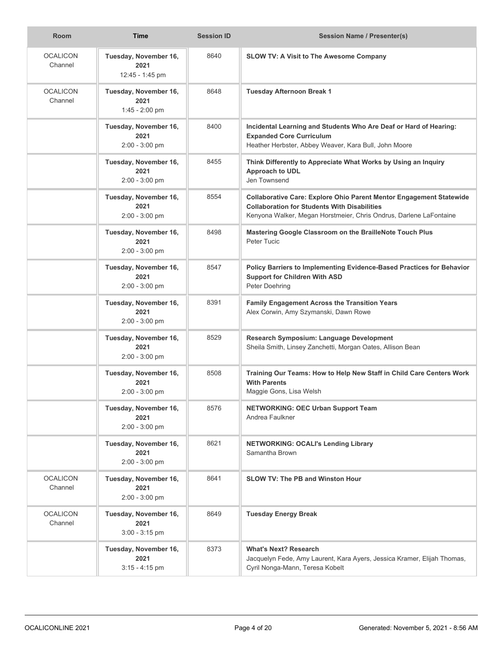| <b>Room</b>                | <b>Time</b>                                       | <b>Session ID</b> | <b>Session Name / Presenter(s)</b>                                                                                                                                                                      |
|----------------------------|---------------------------------------------------|-------------------|---------------------------------------------------------------------------------------------------------------------------------------------------------------------------------------------------------|
| <b>OCALICON</b><br>Channel | Tuesday, November 16,<br>2021<br>12:45 - 1:45 pm  | 8640              | <b>SLOW TV: A Visit to The Awesome Company</b>                                                                                                                                                          |
| <b>OCALICON</b><br>Channel | Tuesday, November 16,<br>2021<br>1:45 - 2:00 pm   | 8648              | <b>Tuesday Afternoon Break 1</b>                                                                                                                                                                        |
|                            | Tuesday, November 16,<br>2021<br>$2:00 - 3:00$ pm | 8400              | Incidental Learning and Students Who Are Deaf or Hard of Hearing:<br><b>Expanded Core Curriculum</b><br>Heather Herbster, Abbey Weaver, Kara Bull, John Moore                                           |
|                            | Tuesday, November 16,<br>2021<br>2:00 - 3:00 pm   | 8455              | Think Differently to Appreciate What Works by Using an Inquiry<br>Approach to UDL<br>Jen Townsend                                                                                                       |
|                            | Tuesday, November 16,<br>2021<br>$2:00 - 3:00$ pm | 8554              | <b>Collaborative Care: Explore Ohio Parent Mentor Engagement Statewide</b><br><b>Collaboration for Students With Disabilities</b><br>Kenyona Walker, Megan Horstmeier, Chris Ondrus, Darlene LaFontaine |
|                            | Tuesday, November 16,<br>2021<br>2:00 - 3:00 pm   | 8498              | Mastering Google Classroom on the BrailleNote Touch Plus<br>Peter Tucic                                                                                                                                 |
|                            | Tuesday, November 16,<br>2021<br>$2:00 - 3:00$ pm | 8547              | Policy Barriers to Implementing Evidence-Based Practices for Behavior<br><b>Support for Children With ASD</b><br>Peter Doehring                                                                         |
|                            | Tuesday, November 16,<br>2021<br>$2:00 - 3:00$ pm | 8391              | <b>Family Engagement Across the Transition Years</b><br>Alex Corwin, Amy Szymanski, Dawn Rowe                                                                                                           |
|                            | Tuesday, November 16,<br>2021<br>$2:00 - 3:00$ pm | 8529              | Research Symposium: Language Development<br>Sheila Smith, Linsey Zanchetti, Morgan Oates, Allison Bean                                                                                                  |
|                            | Tuesday, November 16,<br>2021<br>$2:00 - 3:00$ pm | 8508              | Training Our Teams: How to Help New Staff in Child Care Centers Work<br><b>With Parents</b><br>Maggie Gons, Lisa Welsh                                                                                  |
|                            | Tuesday, November 16,<br>2021<br>$2:00 - 3:00$ pm | 8576              | <b>NETWORKING: OEC Urban Support Team</b><br>Andrea Faulkner                                                                                                                                            |
|                            | Tuesday, November 16,<br>2021<br>2:00 - 3:00 pm   | 8621              | <b>NETWORKING: OCALI's Lending Library</b><br>Samantha Brown                                                                                                                                            |
| <b>OCALICON</b><br>Channel | Tuesday, November 16,<br>2021<br>$2:00 - 3:00$ pm | 8641              | <b>SLOW TV: The PB and Winston Hour</b>                                                                                                                                                                 |
| <b>OCALICON</b><br>Channel | Tuesday, November 16,<br>2021<br>$3:00 - 3:15$ pm | 8649              | <b>Tuesday Energy Break</b>                                                                                                                                                                             |
|                            | Tuesday, November 16,<br>2021<br>$3:15 - 4:15$ pm | 8373              | <b>What's Next? Research</b><br>Jacquelyn Fede, Amy Laurent, Kara Ayers, Jessica Kramer, Elijah Thomas,<br>Cyril Nonga-Mann, Teresa Kobelt                                                              |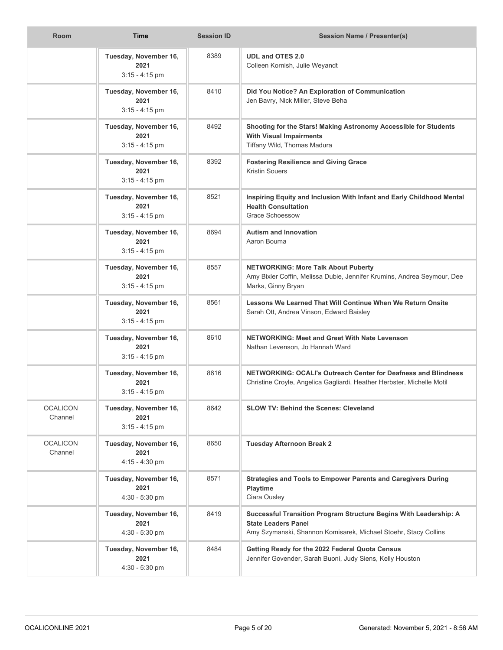| Room                       | <b>Time</b>                                       | <b>Session ID</b> | <b>Session Name / Presenter(s)</b>                                                                                                                                 |
|----------------------------|---------------------------------------------------|-------------------|--------------------------------------------------------------------------------------------------------------------------------------------------------------------|
|                            | Tuesday, November 16,<br>2021<br>$3:15 - 4:15$ pm | 8389              | <b>UDL and OTES 2.0</b><br>Colleen Kornish, Julie Weyandt                                                                                                          |
|                            | Tuesday, November 16,<br>2021<br>$3:15 - 4:15$ pm | 8410              | Did You Notice? An Exploration of Communication<br>Jen Bavry, Nick Miller, Steve Beha                                                                              |
|                            | Tuesday, November 16,<br>2021<br>$3:15 - 4:15$ pm | 8492              | Shooting for the Stars! Making Astronomy Accessible for Students<br><b>With Visual Impairments</b><br>Tiffany Wild, Thomas Madura                                  |
|                            | Tuesday, November 16,<br>2021<br>$3:15 - 4:15$ pm | 8392              | <b>Fostering Resilience and Giving Grace</b><br><b>Kristin Souers</b>                                                                                              |
|                            | Tuesday, November 16,<br>2021<br>$3:15 - 4:15$ pm | 8521              | Inspiring Equity and Inclusion With Infant and Early Childhood Mental<br><b>Health Consultation</b><br><b>Grace Schoessow</b>                                      |
|                            | Tuesday, November 16,<br>2021<br>$3:15 - 4:15$ pm | 8694              | <b>Autism and Innovation</b><br>Aaron Bouma                                                                                                                        |
|                            | Tuesday, November 16,<br>2021<br>$3:15 - 4:15$ pm | 8557              | <b>NETWORKING: More Talk About Puberty</b><br>Amy Bixler Coffin, Melissa Dubie, Jennifer Krumins, Andrea Seymour, Dee<br>Marks, Ginny Bryan                        |
|                            | Tuesday, November 16,<br>2021<br>$3:15 - 4:15$ pm | 8561              | Lessons We Learned That Will Continue When We Return Onsite<br>Sarah Ott, Andrea Vinson, Edward Baisley                                                            |
|                            | Tuesday, November 16,<br>2021<br>$3:15 - 4:15$ pm | 8610              | <b>NETWORKING: Meet and Greet With Nate Levenson</b><br>Nathan Levenson, Jo Hannah Ward                                                                            |
|                            | Tuesday, November 16,<br>2021<br>$3:15 - 4:15$ pm | 8616              | NETWORKING: OCALI's Outreach Center for Deafness and Blindness<br>Christine Croyle, Angelica Gagliardi, Heather Herbster, Michelle Motil                           |
| <b>OCALICON</b><br>Channel | Tuesday, November 16,<br>2021<br>$3:15 - 4:15$ pm | 8642              | <b>SLOW TV: Behind the Scenes: Cleveland</b>                                                                                                                       |
| <b>OCALICON</b><br>Channel | Tuesday, November 16,<br>2021<br>4:15 - 4:30 pm   | 8650              | <b>Tuesday Afternoon Break 2</b>                                                                                                                                   |
|                            | Tuesday, November 16,<br>2021<br>$4:30 - 5:30$ pm | 8571              | <b>Strategies and Tools to Empower Parents and Caregivers During</b><br><b>Playtime</b><br>Ciara Ousley                                                            |
|                            | Tuesday, November 16,<br>2021<br>4:30 - 5:30 pm   | 8419              | Successful Transition Program Structure Begins With Leadership: A<br><b>State Leaders Panel</b><br>Amy Szymanski, Shannon Komisarek, Michael Stoehr, Stacy Collins |
|                            | Tuesday, November 16,<br>2021<br>4:30 - 5:30 pm   | 8484              | Getting Ready for the 2022 Federal Quota Census<br>Jennifer Govender, Sarah Buoni, Judy Siens, Kelly Houston                                                       |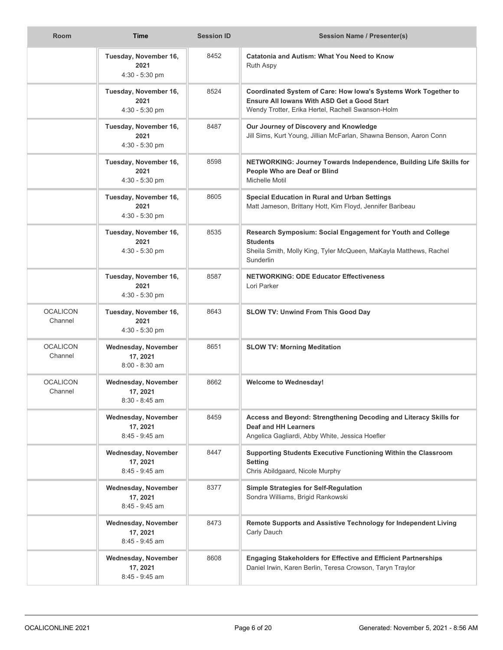| Room                       | <b>Time</b>                                              | <b>Session ID</b> | <b>Session Name / Presenter(s)</b>                                                                                                                                  |
|----------------------------|----------------------------------------------------------|-------------------|---------------------------------------------------------------------------------------------------------------------------------------------------------------------|
|                            | Tuesday, November 16,<br>2021<br>4:30 - 5:30 pm          | 8452              | <b>Catatonia and Autism: What You Need to Know</b><br>Ruth Aspy                                                                                                     |
|                            | Tuesday, November 16,<br>2021<br>$4:30 - 5:30$ pm        | 8524              | Coordinated System of Care: How Iowa's Systems Work Together to<br>Ensure All Iowans With ASD Get a Good Start<br>Wendy Trotter, Erika Hertel, Rachell Swanson-Holm |
|                            | Tuesday, November 16,<br>2021<br>4:30 - 5:30 pm          | 8487              | Our Journey of Discovery and Knowledge<br>Jill Sims, Kurt Young, Jillian McFarlan, Shawna Benson, Aaron Conn                                                        |
|                            | Tuesday, November 16,<br>2021<br>4:30 - 5:30 pm          | 8598              | NETWORKING: Journey Towards Independence, Building Life Skills for<br>People Who are Deaf or Blind<br>Michelle Motil                                                |
|                            | Tuesday, November 16,<br>2021<br>4:30 - 5:30 pm          | 8605              | <b>Special Education in Rural and Urban Settings</b><br>Matt Jameson, Brittany Hott, Kim Floyd, Jennifer Baribeau                                                   |
|                            | Tuesday, November 16,<br>2021<br>4:30 - 5:30 pm          | 8535              | Research Symposium: Social Engagement for Youth and College<br><b>Students</b><br>Sheila Smith, Molly King, Tyler McQueen, MaKayla Matthews, Rachel<br>Sunderlin    |
|                            | Tuesday, November 16,<br>2021<br>4:30 - 5:30 pm          | 8587              | <b>NETWORKING: ODE Educator Effectiveness</b><br>Lori Parker                                                                                                        |
| <b>OCALICON</b><br>Channel | Tuesday, November 16,<br>2021<br>4:30 - 5:30 pm          | 8643              | SLOW TV: Unwind From This Good Day                                                                                                                                  |
| <b>OCALICON</b><br>Channel | Wednesday, November<br>17, 2021<br>$8:00 - 8:30$ am      | 8651              | <b>SLOW TV: Morning Meditation</b>                                                                                                                                  |
| <b>OCALICON</b><br>Channel | <b>Wednesday, November</b><br>17, 2021<br>8:30 - 8:45 am | 8662              | <b>Welcome to Wednesday!</b>                                                                                                                                        |
|                            | Wednesday, November<br>17, 2021<br>8:45 - 9:45 am        | 8459              | Access and Beyond: Strengthening Decoding and Literacy Skills for<br><b>Deaf and HH Learners</b><br>Angelica Gagliardi, Abby White, Jessica Hoefler                 |
|                            | Wednesday, November<br>17, 2021<br>8:45 - 9:45 am        | 8447              | Supporting Students Executive Functioning Within the Classroom<br><b>Setting</b><br>Chris Abildgaard, Nicole Murphy                                                 |
|                            | Wednesday, November<br>17, 2021<br>8:45 - 9:45 am        | 8377              | <b>Simple Strategies for Self-Regulation</b><br>Sondra Williams, Brigid Rankowski                                                                                   |
|                            | Wednesday, November<br>17, 2021<br>8:45 - 9:45 am        | 8473              | Remote Supports and Assistive Technology for Independent Living<br>Carly Dauch                                                                                      |
|                            | Wednesday, November<br>17, 2021<br>8:45 - 9:45 am        | 8608              | <b>Engaging Stakeholders for Effective and Efficient Partnerships</b><br>Daniel Irwin, Karen Berlin, Teresa Crowson, Taryn Traylor                                  |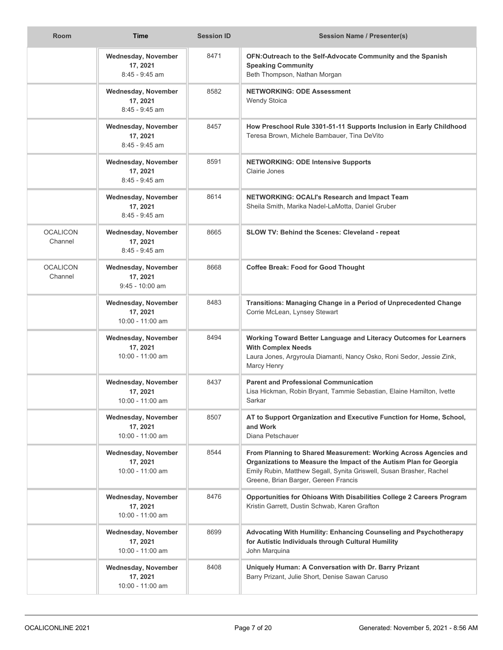| <b>Room</b>                | <b>Time</b>                                                 | <b>Session ID</b> | Session Name / Presenter(s)                                                                                                                                                                                                                           |
|----------------------------|-------------------------------------------------------------|-------------------|-------------------------------------------------------------------------------------------------------------------------------------------------------------------------------------------------------------------------------------------------------|
|                            | Wednesday, November<br>17, 2021<br>$8:45 - 9:45$ am         | 8471              | OFN:Outreach to the Self-Advocate Community and the Spanish<br><b>Speaking Community</b><br>Beth Thompson, Nathan Morgan                                                                                                                              |
|                            | Wednesday, November<br>17, 2021<br>$8:45 - 9:45$ am         | 8582              | <b>NETWORKING: ODE Assessment</b><br><b>Wendy Stoica</b>                                                                                                                                                                                              |
|                            | Wednesday, November<br>17, 2021<br>$8:45 - 9:45$ am         | 8457              | How Preschool Rule 3301-51-11 Supports Inclusion in Early Childhood<br>Teresa Brown, Michele Bambauer, Tina DeVito                                                                                                                                    |
|                            | <b>Wednesday, November</b><br>17, 2021<br>8:45 - 9:45 am    | 8591              | <b>NETWORKING: ODE Intensive Supports</b><br>Clairie Jones                                                                                                                                                                                            |
|                            | Wednesday, November<br>17, 2021<br>$8:45 - 9:45$ am         | 8614              | <b>NETWORKING: OCALI's Research and Impact Team</b><br>Sheila Smith, Marika Nadel-LaMotta, Daniel Gruber                                                                                                                                              |
| <b>OCALICON</b><br>Channel | Wednesday, November<br>17, 2021<br>8:45 - 9:45 am           | 8665              | <b>SLOW TV: Behind the Scenes: Cleveland - repeat</b>                                                                                                                                                                                                 |
| <b>OCALICON</b><br>Channel | <b>Wednesday, November</b><br>17, 2021<br>$9:45 - 10:00$ am | 8668              | <b>Coffee Break: Food for Good Thought</b>                                                                                                                                                                                                            |
|                            | Wednesday, November<br>17, 2021<br>10:00 - 11:00 am         | 8483              | Transitions: Managing Change in a Period of Unprecedented Change<br>Corrie McLean, Lynsey Stewart                                                                                                                                                     |
|                            | <b>Wednesday, November</b><br>17, 2021<br>10:00 - 11:00 am  | 8494              | Working Toward Better Language and Literacy Outcomes for Learners<br><b>With Complex Needs</b><br>Laura Jones, Argyroula Diamanti, Nancy Osko, Roni Sedor, Jessie Zink,<br>Marcy Henry                                                                |
|                            | Wednesday, November<br>17, 2021<br>10:00 - 11:00 am         | 8437              | <b>Parent and Professional Communication</b><br>Lisa Hickman, Robin Bryant, Tammie Sebastian, Elaine Hamilton, Ivette<br>Sarkar                                                                                                                       |
|                            | Wednesday, November<br>17, 2021<br>10:00 - 11:00 am         | 8507              | AT to Support Organization and Executive Function for Home, School,<br>and Work<br>Diana Petschauer                                                                                                                                                   |
|                            | Wednesday, November<br>17, 2021<br>10:00 - 11:00 am         | 8544              | From Planning to Shared Measurement: Working Across Agencies and<br>Organizations to Measure the Impact of the Autism Plan for Georgia<br>Emily Rubin, Matthew Segall, Synita Griswell, Susan Brasher, Rachel<br>Greene, Brian Barger, Gereen Francis |
|                            | Wednesday, November<br>17, 2021<br>10:00 - 11:00 am         | 8476              | Opportunities for Ohioans With Disabilities College 2 Careers Program<br>Kristin Garrett, Dustin Schwab, Karen Grafton                                                                                                                                |
|                            | <b>Wednesday, November</b><br>17, 2021<br>10:00 - 11:00 am  | 8699              | Advocating With Humility: Enhancing Counseling and Psychotherapy<br>for Autistic Individuals through Cultural Humility<br>John Marquina                                                                                                               |
|                            | Wednesday, November<br>17, 2021<br>10:00 - 11:00 am         | 8408              | Uniquely Human: A Conversation with Dr. Barry Prizant<br>Barry Prizant, Julie Short, Denise Sawan Caruso                                                                                                                                              |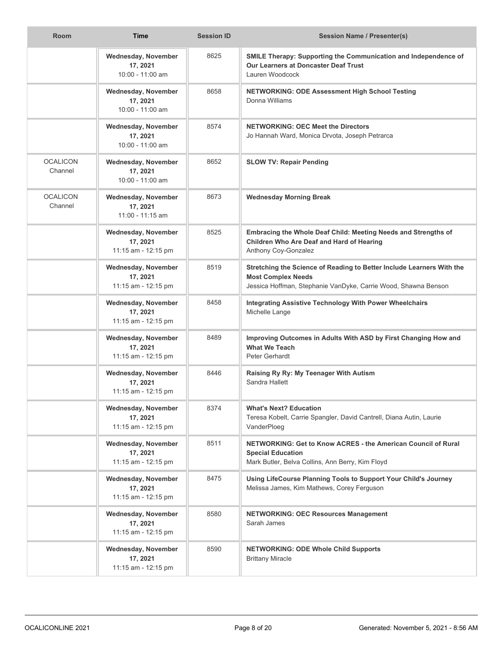| <b>Room</b>                | <b>Time</b>                                                   | <b>Session ID</b> | Session Name / Presenter(s)                                                                                                                                          |
|----------------------------|---------------------------------------------------------------|-------------------|----------------------------------------------------------------------------------------------------------------------------------------------------------------------|
|                            | Wednesday, November<br>17, 2021<br>10:00 - 11:00 am           | 8625              | SMILE Therapy: Supporting the Communication and Independence of<br><b>Our Learners at Doncaster Deaf Trust</b><br>Lauren Woodcock                                    |
|                            | Wednesday, November<br>17, 2021<br>$10:00 - 11:00$ am         | 8658              | <b>NETWORKING: ODE Assessment High School Testing</b><br>Donna Williams                                                                                              |
|                            | Wednesday, November<br>17, 2021<br>$10:00 - 11:00$ am         | 8574              | <b>NETWORKING: OEC Meet the Directors</b><br>Jo Hannah Ward, Monica Drvota, Joseph Petrarca                                                                          |
| <b>OCALICON</b><br>Channel | Wednesday, November<br>17, 2021<br>10:00 - 11:00 am           | 8652              | <b>SLOW TV: Repair Pending</b>                                                                                                                                       |
| <b>OCALICON</b><br>Channel | Wednesday, November<br>17, 2021<br>$11:00 - 11:15$ am         | 8673              | <b>Wednesday Morning Break</b>                                                                                                                                       |
|                            | <b>Wednesday, November</b><br>17, 2021<br>11:15 am - 12:15 pm | 8525              | Embracing the Whole Deaf Child: Meeting Needs and Strengths of<br>Children Who Are Deaf and Hard of Hearing<br>Anthony Coy-Gonzalez                                  |
|                            | Wednesday, November<br>17, 2021<br>11:15 am - 12:15 pm        | 8519              | Stretching the Science of Reading to Better Include Learners With the<br><b>Most Complex Needs</b><br>Jessica Hoffman, Stephanie VanDyke, Carrie Wood, Shawna Benson |
|                            | Wednesday, November<br>17, 2021<br>11:15 am - 12:15 pm        | 8458              | <b>Integrating Assistive Technology With Power Wheelchairs</b><br>Michelle Lange                                                                                     |
|                            | Wednesday, November<br>17, 2021<br>11:15 am - 12:15 pm        | 8489              | Improving Outcomes in Adults With ASD by First Changing How and<br><b>What We Teach</b><br>Peter Gerhardt                                                            |
|                            | Wednesday, November<br>17, 2021<br>11:15 am - 12:15 pm        | 8446              | Raising Ry Ry: My Teenager With Autism<br>Sandra Hallett                                                                                                             |
|                            | Wednesday, November<br>17, 2021<br>11:15 am - 12:15 pm        | 8374              | <b>What's Next? Education</b><br>Teresa Kobelt, Carrie Spangler, David Cantrell, Diana Autin, Laurie<br>VanderPloeg                                                  |
|                            | Wednesday, November<br>17, 2021<br>11:15 am - 12:15 pm        | 8511              | NETWORKING: Get to Know ACRES - the American Council of Rural<br><b>Special Education</b><br>Mark Butler, Belva Collins, Ann Berry, Kim Floyd                        |
|                            | Wednesday, November<br>17, 2021<br>11:15 am - 12:15 pm        | 8475              | Using LifeCourse Planning Tools to Support Your Child's Journey<br>Melissa James, Kim Mathews, Corey Ferguson                                                        |
|                            | Wednesday, November<br>17, 2021<br>11:15 am - 12:15 pm        | 8580              | <b>NETWORKING: OEC Resources Management</b><br>Sarah James                                                                                                           |
|                            | Wednesday, November<br>17, 2021<br>11:15 am - 12:15 pm        | 8590              | <b>NETWORKING: ODE Whole Child Supports</b><br><b>Brittany Miracle</b>                                                                                               |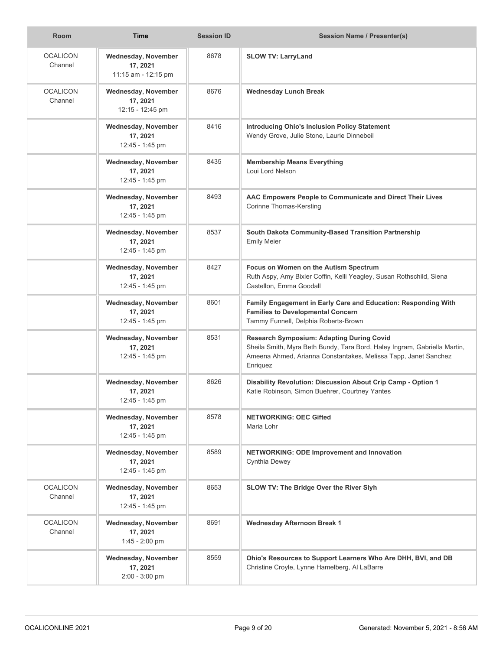| <b>Room</b>                | <b>Time</b>                                            | <b>Session ID</b> | <b>Session Name / Presenter(s)</b>                                                                                                                                                                           |
|----------------------------|--------------------------------------------------------|-------------------|--------------------------------------------------------------------------------------------------------------------------------------------------------------------------------------------------------------|
| <b>OCALICON</b><br>Channel | Wednesday, November<br>17, 2021<br>11:15 am - 12:15 pm | 8678              | <b>SLOW TV: LarryLand</b>                                                                                                                                                                                    |
| <b>OCALICON</b><br>Channel | Wednesday, November<br>17, 2021<br>12:15 - 12:45 pm    | 8676              | <b>Wednesday Lunch Break</b>                                                                                                                                                                                 |
|                            | Wednesday, November<br>17, 2021<br>12:45 - 1:45 pm     | 8416              | <b>Introducing Ohio's Inclusion Policy Statement</b><br>Wendy Grove, Julie Stone, Laurie Dinnebeil                                                                                                           |
|                            | Wednesday, November<br>17, 2021<br>12:45 - 1:45 pm     | 8435              | <b>Membership Means Everything</b><br>Loui Lord Nelson                                                                                                                                                       |
|                            | Wednesday, November<br>17, 2021<br>12:45 - 1:45 pm     | 8493              | AAC Empowers People to Communicate and Direct Their Lives<br><b>Corinne Thomas-Kersting</b>                                                                                                                  |
|                            | Wednesday, November<br>17, 2021<br>12:45 - 1:45 pm     | 8537              | South Dakota Community-Based Transition Partnership<br><b>Emily Meier</b>                                                                                                                                    |
|                            | Wednesday, November<br>17, 2021<br>12:45 - 1:45 pm     | 8427              | Focus on Women on the Autism Spectrum<br>Ruth Aspy, Amy Bixler Coffin, Kelli Yeagley, Susan Rothschild, Siena<br>Castellon, Emma Goodall                                                                     |
|                            | Wednesday, November<br>17, 2021<br>12:45 - 1:45 pm     | 8601              | Family Engagement in Early Care and Education: Responding With<br><b>Families to Developmental Concern</b><br>Tammy Funnell, Delphia Roberts-Brown                                                           |
|                            | Wednesday, November<br>17, 2021<br>12:45 - 1:45 pm     | 8531              | <b>Research Symposium: Adapting During Covid</b><br>Sheila Smith, Myra Beth Bundy, Tara Bord, Haley Ingram, Gabriella Martin,<br>Ameena Ahmed, Arianna Constantakes, Melissa Tapp, Janet Sanchez<br>Enriquez |
|                            | Wednesday, November<br>17, 2021<br>12:45 - 1:45 pm     | 8626              | Disability Revolution: Discussion About Crip Camp - Option 1<br>Katie Robinson, Simon Buehrer, Courtney Yantes                                                                                               |
|                            | Wednesday, November<br>17, 2021<br>12:45 - 1:45 pm     | 8578              | <b>NETWORKING: OEC Gifted</b><br>Maria Lohr                                                                                                                                                                  |
|                            | Wednesday, November<br>17, 2021<br>12:45 - 1:45 pm     | 8589              | NETWORKING: ODE Improvement and Innovation<br>Cynthia Dewey                                                                                                                                                  |
| <b>OCALICON</b><br>Channel | Wednesday, November<br>17, 2021<br>12:45 - 1:45 pm     | 8653              | SLOW TV: The Bridge Over the River Slyh                                                                                                                                                                      |
| <b>OCALICON</b><br>Channel | Wednesday, November<br>17, 2021<br>1:45 - 2:00 pm      | 8691              | <b>Wednesday Afternoon Break 1</b>                                                                                                                                                                           |
|                            | Wednesday, November<br>17, 2021<br>$2:00 - 3:00$ pm    | 8559              | Ohio's Resources to Support Learners Who Are DHH, BVI, and DB<br>Christine Croyle, Lynne Hamelberg, Al LaBarre                                                                                               |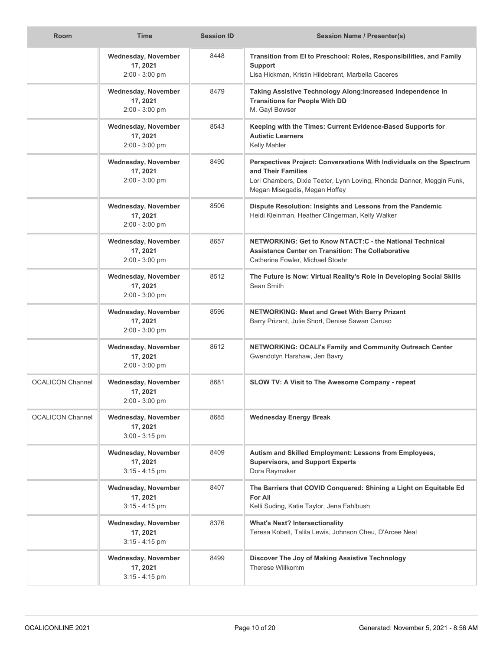| <b>Room</b>             | <b>Time</b>                                                | <b>Session ID</b> | <b>Session Name / Presenter(s)</b>                                                                                                                                                                   |
|-------------------------|------------------------------------------------------------|-------------------|------------------------------------------------------------------------------------------------------------------------------------------------------------------------------------------------------|
|                         | Wednesday, November<br>17, 2021<br>2:00 - 3:00 pm          | 8448              | Transition from El to Preschool: Roles, Responsibilities, and Family<br><b>Support</b><br>Lisa Hickman, Kristin Hildebrant, Marbella Caceres                                                         |
|                         | Wednesday, November<br>17, 2021<br>$2:00 - 3:00$ pm        | 8479              | Taking Assistive Technology Along: Increased Independence in<br><b>Transitions for People With DD</b><br>M. Gayl Bowser                                                                              |
|                         | Wednesday, November<br>17, 2021<br>$2:00 - 3:00$ pm        | 8543              | Keeping with the Times: Current Evidence-Based Supports for<br><b>Autistic Learners</b><br>Kelly Mahler                                                                                              |
|                         | Wednesday, November<br>17, 2021<br>$2:00 - 3:00$ pm        | 8490              | Perspectives Project: Conversations With Individuals on the Spectrum<br>and Their Families<br>Lori Chambers, Dixie Teeter, Lynn Loving, Rhonda Danner, Meggin Funk,<br>Megan Misegadis, Megan Hoffey |
|                         | Wednesday, November<br>17, 2021<br>$2:00 - 3:00$ pm        | 8506              | Dispute Resolution: Insights and Lessons from the Pandemic<br>Heidi Kleinman, Heather Clingerman, Kelly Walker                                                                                       |
|                         | Wednesday, November<br>17, 2021<br>$2:00 - 3:00$ pm        | 8657              | NETWORKING: Get to Know NTACT:C - the National Technical<br><b>Assistance Center on Transition: The Collaborative</b><br>Catherine Fowler, Michael Stoehr                                            |
|                         | Wednesday, November<br>17, 2021<br>$2:00 - 3:00$ pm        | 8512              | The Future is Now: Virtual Reality's Role in Developing Social Skills<br>Sean Smith                                                                                                                  |
|                         | <b>Wednesday, November</b><br>17, 2021<br>$2:00 - 3:00$ pm | 8596              | NETWORKING: Meet and Greet With Barry Prizant<br>Barry Prizant, Julie Short, Denise Sawan Caruso                                                                                                     |
|                         | Wednesday, November<br>17, 2021<br>2:00 - 3:00 pm          | 8612              | NETWORKING: OCALI's Family and Community Outreach Center<br>Gwendolyn Harshaw, Jen Bavry                                                                                                             |
| <b>OCALICON Channel</b> | Wednesday, November<br>17, 2021<br>2:00 - 3:00 pm          | 8681              | SLOW TV: A Visit to The Awesome Company - repeat                                                                                                                                                     |
| <b>OCALICON Channel</b> | Wednesday, November<br>17, 2021<br>$3:00 - 3:15$ pm        | 8685              | <b>Wednesday Energy Break</b>                                                                                                                                                                        |
|                         | Wednesday, November<br>17, 2021<br>$3:15 - 4:15$ pm        | 8409              | Autism and Skilled Employment: Lessons from Employees,<br><b>Supervisors, and Support Experts</b><br>Dora Raymaker                                                                                   |
|                         | Wednesday, November<br>17, 2021<br>$3:15 - 4:15$ pm        | 8407              | The Barriers that COVID Conquered: Shining a Light on Equitable Ed<br><b>For All</b><br>Kelli Suding, Katie Taylor, Jena Fahlbush                                                                    |
|                         | Wednesday, November<br>17, 2021<br>$3:15 - 4:15$ pm        | 8376              | <b>What's Next? Intersectionality</b><br>Teresa Kobelt, Talila Lewis, Johnson Cheu, D'Arcee Neal                                                                                                     |
|                         | Wednesday, November<br>17, 2021<br>$3:15 - 4:15$ pm        | 8499              | Discover The Joy of Making Assistive Technology<br>Therese Willkomm                                                                                                                                  |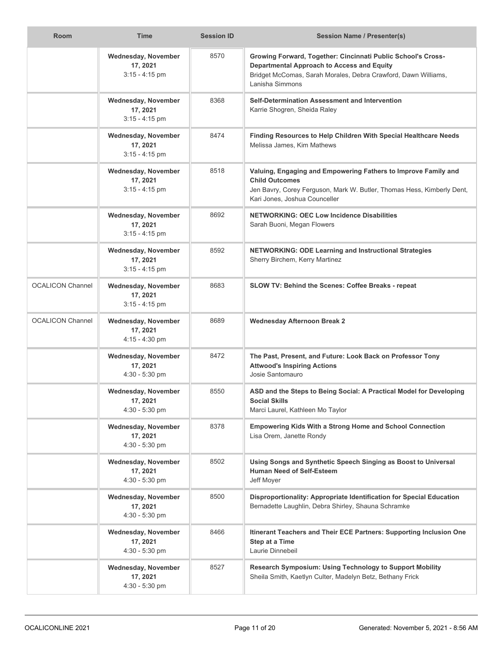| <b>Room</b>             | <b>Time</b>                                                | <b>Session ID</b> | <b>Session Name / Presenter(s)</b>                                                                                                                                                                     |
|-------------------------|------------------------------------------------------------|-------------------|--------------------------------------------------------------------------------------------------------------------------------------------------------------------------------------------------------|
|                         | Wednesday, November<br>17, 2021<br>$3:15 - 4:15$ pm        | 8570              | Growing Forward, Together: Cincinnati Public School's Cross-<br><b>Departmental Approach to Access and Equity</b><br>Bridget McComas, Sarah Morales, Debra Crawford, Dawn Williams,<br>Lanisha Simmons |
|                         | Wednesday, November<br>17, 2021<br>$3:15 - 4:15$ pm        | 8368              | Self-Determination Assessment and Intervention<br>Karrie Shogren, Sheida Raley                                                                                                                         |
|                         | Wednesday, November<br>17, 2021<br>$3:15 - 4:15$ pm        | 8474              | Finding Resources to Help Children With Special Healthcare Needs<br>Melissa James, Kim Mathews                                                                                                         |
|                         | Wednesday, November<br>17, 2021<br>$3:15 - 4:15$ pm        | 8518              | Valuing, Engaging and Empowering Fathers to Improve Family and<br><b>Child Outcomes</b><br>Jen Bavry, Corey Ferguson, Mark W. Butler, Thomas Hess, Kimberly Dent,<br>Kari Jones, Joshua Counceller     |
|                         | Wednesday, November<br>17, 2021<br>$3:15 - 4:15$ pm        | 8692              | <b>NETWORKING: OEC Low Incidence Disabilities</b><br>Sarah Buoni, Megan Flowers                                                                                                                        |
|                         | Wednesday, November<br>17, 2021<br>$3:15 - 4:15$ pm        | 8592              | <b>NETWORKING: ODE Learning and Instructional Strategies</b><br>Sherry Birchem, Kerry Martinez                                                                                                         |
| <b>OCALICON Channel</b> | Wednesday, November<br>17, 2021<br>$3:15 - 4:15$ pm        | 8683              | SLOW TV: Behind the Scenes: Coffee Breaks - repeat                                                                                                                                                     |
| <b>OCALICON Channel</b> | <b>Wednesday, November</b><br>17, 2021<br>$4:15 - 4:30$ pm | 8689              | <b>Wednesday Afternoon Break 2</b>                                                                                                                                                                     |
|                         | Wednesday, November<br>17, 2021<br>$4:30 - 5:30$ pm        | 8472              | The Past, Present, and Future: Look Back on Professor Tony<br><b>Attwood's Inspiring Actions</b><br>Josie Santomauro                                                                                   |
|                         | <b>Wednesday, November</b><br>17, 2021<br>$4:30 - 5:30$ pm | 8550              | ASD and the Steps to Being Social: A Practical Model for Developing<br><b>Social Skills</b><br>Marci Laurel, Kathleen Mo Taylor                                                                        |
|                         | Wednesday, November<br>17, 2021<br>$4:30 - 5:30$ pm        | 8378              | <b>Empowering Kids With a Strong Home and School Connection</b><br>Lisa Orem, Janette Rondy                                                                                                            |
|                         | Wednesday, November<br>17, 2021<br>$4:30 - 5:30$ pm        | 8502              | Using Songs and Synthetic Speech Singing as Boost to Universal<br><b>Human Need of Self-Esteem</b><br>Jeff Moyer                                                                                       |
|                         | Wednesday, November<br>17, 2021<br>$4:30 - 5:30$ pm        | 8500              | Disproportionality: Appropriate Identification for Special Education<br>Bernadette Laughlin, Debra Shirley, Shauna Schramke                                                                            |
|                         | Wednesday, November<br>17, 2021<br>4:30 - 5:30 pm          | 8466              | Itinerant Teachers and Their ECE Partners: Supporting Inclusion One<br>Step at a Time<br>Laurie Dinnebeil                                                                                              |
|                         | Wednesday, November<br>17, 2021<br>$4:30 - 5:30$ pm        | 8527              | Research Symposium: Using Technology to Support Mobility<br>Sheila Smith, Kaetlyn Culter, Madelyn Betz, Bethany Frick                                                                                  |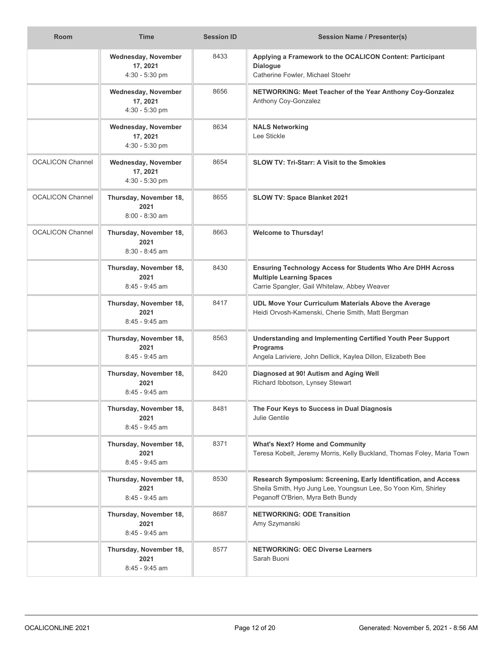| <b>Room</b>             | <b>Time</b>                                        | <b>Session ID</b> | <b>Session Name / Presenter(s)</b>                                                                                                                                     |
|-------------------------|----------------------------------------------------|-------------------|------------------------------------------------------------------------------------------------------------------------------------------------------------------------|
|                         | Wednesday, November<br>17, 2021<br>4:30 - 5:30 pm  | 8433              | Applying a Framework to the OCALICON Content: Participant<br><b>Dialogue</b><br>Catherine Fowler, Michael Stoehr                                                       |
|                         | Wednesday, November<br>17, 2021<br>4:30 - 5:30 pm  | 8656              | NETWORKING: Meet Teacher of the Year Anthony Coy-Gonzalez<br>Anthony Coy-Gonzalez                                                                                      |
|                         | Wednesday, November<br>17, 2021<br>4:30 - 5:30 pm  | 8634              | <b>NALS Networking</b><br>Lee Stickle                                                                                                                                  |
| <b>OCALICON Channel</b> | Wednesday, November<br>17, 2021<br>4:30 - 5:30 pm  | 8654              | <b>SLOW TV: Tri-Starr: A Visit to the Smokies</b>                                                                                                                      |
| <b>OCALICON Channel</b> | Thursday, November 18,<br>2021<br>$8:00 - 8:30$ am | 8655              | SLOW TV: Space Blanket 2021                                                                                                                                            |
| <b>OCALICON Channel</b> | Thursday, November 18,<br>2021<br>$8:30 - 8:45$ am | 8663              | <b>Welcome to Thursday!</b>                                                                                                                                            |
|                         | Thursday, November 18,<br>2021<br>8:45 - 9:45 am   | 8430              | <b>Ensuring Technology Access for Students Who Are DHH Across</b><br><b>Multiple Learning Spaces</b><br>Carrie Spangler, Gail Whitelaw, Abbey Weaver                   |
|                         | Thursday, November 18,<br>2021<br>$8:45 - 9:45$ am | 8417              | UDL Move Your Curriculum Materials Above the Average<br>Heidi Orvosh-Kamenski, Cherie Smith, Matt Bergman                                                              |
|                         | Thursday, November 18,<br>2021<br>$8:45 - 9:45$ am | 8563              | <b>Understanding and Implementing Certified Youth Peer Support</b><br><b>Programs</b><br>Angela Lariviere, John Dellick, Kaylea Dillon, Elizabeth Bee                  |
|                         | Thursday, November 18,<br>2021<br>$8.45 - 9.45$ am | 8420              | Diagnosed at 90! Autism and Aging Well<br>Richard Ibbotson, Lynsey Stewart                                                                                             |
|                         | Thursday, November 18,<br>2021<br>8:45 - 9:45 am   | 8481              | The Four Keys to Success in Dual Diagnosis<br>Julie Gentile                                                                                                            |
|                         | Thursday, November 18,<br>2021<br>8:45 - 9:45 am   | 8371              | <b>What's Next? Home and Community</b><br>Teresa Kobelt, Jeremy Morris, Kelly Buckland, Thomas Foley, Maria Town                                                       |
|                         | Thursday, November 18,<br>2021<br>$8:45 - 9:45$ am | 8530              | Research Symposium: Screening, Early Identification, and Access<br>Sheila Smith, Hyo Jung Lee, Youngsun Lee, So Yoon Kim, Shirley<br>Peganoff O'Brien, Myra Beth Bundy |
|                         | Thursday, November 18,<br>2021<br>8:45 - 9:45 am   | 8687              | <b>NETWORKING: ODE Transition</b><br>Amy Szymanski                                                                                                                     |
|                         | Thursday, November 18,<br>2021<br>8:45 - 9:45 am   | 8577              | <b>NETWORKING: OEC Diverse Learners</b><br>Sarah Buoni                                                                                                                 |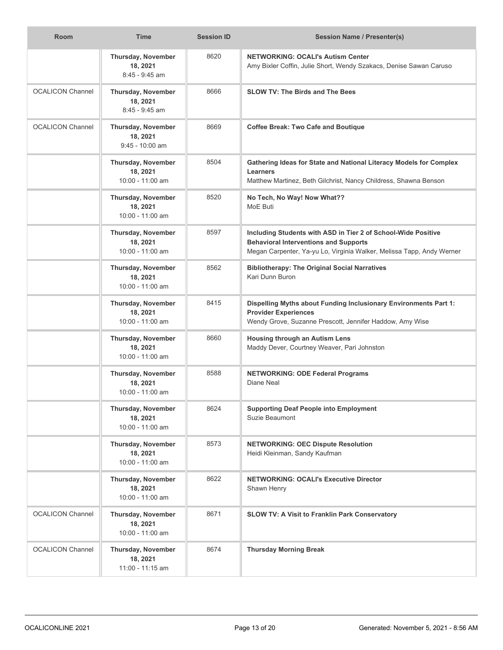| Room                    | <b>Time</b>                                         | <b>Session ID</b> | <b>Session Name / Presenter(s)</b>                                                                                                                                                     |
|-------------------------|-----------------------------------------------------|-------------------|----------------------------------------------------------------------------------------------------------------------------------------------------------------------------------------|
|                         | Thursday, November<br>18, 2021<br>8:45 - 9:45 am    | 8620              | <b>NETWORKING: OCALI's Autism Center</b><br>Amy Bixler Coffin, Julie Short, Wendy Szakacs, Denise Sawan Caruso                                                                         |
| <b>OCALICON Channel</b> | Thursday, November<br>18, 2021<br>8:45 - 9:45 am    | 8666              | <b>SLOW TV: The Birds and The Bees</b>                                                                                                                                                 |
| <b>OCALICON Channel</b> | Thursday, November<br>18, 2021<br>$9:45 - 10:00$ am | 8669              | <b>Coffee Break: Two Cafe and Boutique</b>                                                                                                                                             |
|                         | Thursday, November<br>18, 2021<br>10:00 - 11:00 am  | 8504              | Gathering Ideas for State and National Literacy Models for Complex<br><b>Learners</b><br>Matthew Martinez, Beth Gilchrist, Nancy Childress, Shawna Benson                              |
|                         | Thursday, November<br>18, 2021<br>10:00 - 11:00 am  | 8520              | No Tech, No Way! Now What??<br>MoE Buti                                                                                                                                                |
|                         | Thursday, November<br>18, 2021<br>10:00 - 11:00 am  | 8597              | Including Students with ASD in Tier 2 of School-Wide Positive<br><b>Behavioral Interventions and Supports</b><br>Megan Carpenter, Ya-yu Lo, Virginia Walker, Melissa Tapp, Andy Werner |
|                         | Thursday, November<br>18, 2021<br>10:00 - 11:00 am  | 8562              | <b>Bibliotherapy: The Original Social Narratives</b><br>Kari Dunn Buron                                                                                                                |
|                         | Thursday, November<br>18, 2021<br>10:00 - 11:00 am  | 8415              | Dispelling Myths about Funding Inclusionary Environments Part 1:<br><b>Provider Experiences</b><br>Wendy Grove, Suzanne Prescott, Jennifer Haddow, Amy Wise                            |
|                         | Thursday, November<br>18, 2021<br>10:00 - 11:00 am  | 8660              | <b>Housing through an Autism Lens</b><br>Maddy Dever, Courtney Weaver, Pari Johnston                                                                                                   |
|                         | Thursday, November<br>18, 2021<br>10:00 - 11:00 am  | 8588              | <b>NETWORKING: ODE Federal Programs</b><br>Diane Neal                                                                                                                                  |
|                         | Thursday, November<br>18, 2021<br>10:00 - 11:00 am  | 8624              | <b>Supporting Deaf People into Employment</b><br>Suzie Beaumont                                                                                                                        |
|                         | Thursday, November<br>18, 2021<br>10:00 - 11:00 am  | 8573              | <b>NETWORKING: OEC Dispute Resolution</b><br>Heidi Kleinman, Sandy Kaufman                                                                                                             |
|                         | Thursday, November<br>18, 2021<br>10:00 - 11:00 am  | 8622              | <b>NETWORKING: OCALI's Executive Director</b><br>Shawn Henry                                                                                                                           |
| <b>OCALICON Channel</b> | Thursday, November<br>18, 2021<br>10:00 - 11:00 am  | 8671              | <b>SLOW TV: A Visit to Franklin Park Conservatory</b>                                                                                                                                  |
| <b>OCALICON Channel</b> | Thursday, November<br>18, 2021<br>11:00 - 11:15 am  | 8674              | <b>Thursday Morning Break</b>                                                                                                                                                          |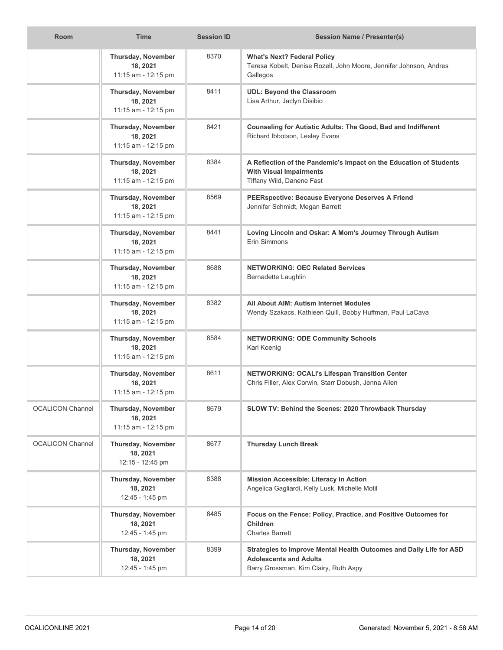| <b>Room</b>             | <b>Time</b>                                           | <b>Session ID</b> | <b>Session Name / Presenter(s)</b>                                                                                                            |
|-------------------------|-------------------------------------------------------|-------------------|-----------------------------------------------------------------------------------------------------------------------------------------------|
|                         | Thursday, November<br>18, 2021<br>11:15 am - 12:15 pm | 8370              | <b>What's Next? Federal Policy</b><br>Teresa Kobelt, Denise Rozell, John Moore, Jennifer Johnson, Andres<br>Gallegos                          |
|                         | Thursday, November<br>18, 2021<br>11:15 am - 12:15 pm | 8411              | <b>UDL: Beyond the Classroom</b><br>Lisa Arthur, Jaclyn Disibio                                                                               |
|                         | Thursday, November<br>18, 2021<br>11:15 am - 12:15 pm | 8421              | <b>Counseling for Autistic Adults: The Good, Bad and Indifferent</b><br>Richard Ibbotson, Lesley Evans                                        |
|                         | Thursday, November<br>18, 2021<br>11:15 am - 12:15 pm | 8384              | A Reflection of the Pandemic's Impact on the Education of Students<br><b>With Visual Impairments</b><br>Tiffany Wild, Danene Fast             |
|                         | Thursday, November<br>18, 2021<br>11:15 am - 12:15 pm | 8569              | PEERspective: Because Everyone Deserves A Friend<br>Jennifer Schmidt, Megan Barrett                                                           |
|                         | Thursday, November<br>18, 2021<br>11:15 am - 12:15 pm | 8441              | Loving Lincoln and Oskar: A Mom's Journey Through Autism<br>Erin Simmons                                                                      |
|                         | Thursday, November<br>18, 2021<br>11:15 am - 12:15 pm | 8688              | <b>NETWORKING: OEC Related Services</b><br>Bernadette Laughlin                                                                                |
|                         | Thursday, November<br>18, 2021<br>11:15 am - 12:15 pm | 8382              | All About AIM: Autism Internet Modules<br>Wendy Szakacs, Kathleen Quill, Bobby Huffman, Paul LaCava                                           |
|                         | Thursday, November<br>18, 2021<br>11:15 am - 12:15 pm | 8584              | <b>NETWORKING: ODE Community Schools</b><br>Karl Koenig                                                                                       |
|                         | Thursday, November<br>18, 2021<br>11:15 am - 12:15 pm | 8611              | <b>NETWORKING: OCALI's Lifespan Transition Center</b><br>Chris Filler, Alex Corwin, Starr Dobush, Jenna Allen                                 |
| <b>OCALICON Channel</b> | Thursday, November<br>18, 2021<br>11:15 am - 12:15 pm | 8679              | SLOW TV: Behind the Scenes: 2020 Throwback Thursday                                                                                           |
| <b>OCALICON Channel</b> | Thursday, November<br>18, 2021<br>12:15 - 12:45 pm    | 8677              | <b>Thursday Lunch Break</b>                                                                                                                   |
|                         | Thursday, November<br>18, 2021<br>12:45 - 1:45 pm     | 8388              | Mission Accessible: Literacy in Action<br>Angelica Gagliardi, Kelly Lusk, Michelle Motil                                                      |
|                         | Thursday, November<br>18, 2021<br>12:45 - 1:45 pm     | 8485              | Focus on the Fence: Policy, Practice, and Positive Outcomes for<br><b>Children</b><br><b>Charles Barrett</b>                                  |
|                         | Thursday, November<br>18, 2021<br>12:45 - 1:45 pm     | 8399              | Strategies to Improve Mental Health Outcomes and Daily Life for ASD<br><b>Adolescents and Adults</b><br>Barry Grossman, Kim Clairy, Ruth Aspy |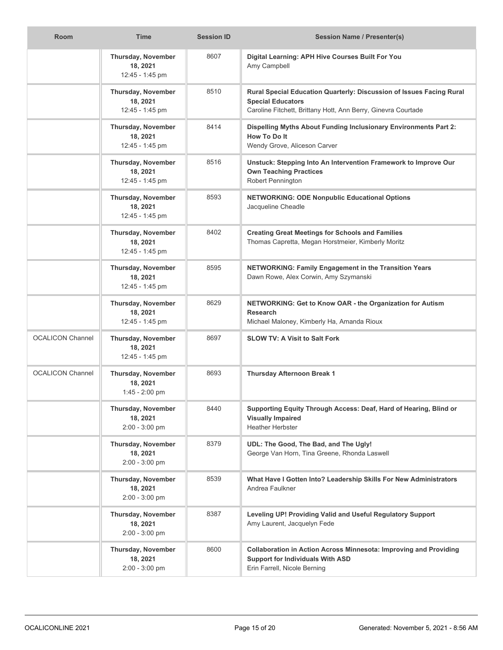| <b>Room</b>             | <b>Time</b>                                        | <b>Session ID</b> | <b>Session Name / Presenter(s)</b>                                                                                                                                |
|-------------------------|----------------------------------------------------|-------------------|-------------------------------------------------------------------------------------------------------------------------------------------------------------------|
|                         | Thursday, November<br>18, 2021<br>12:45 - 1:45 pm  | 8607              | Digital Learning: APH Hive Courses Built For You<br>Amy Campbell                                                                                                  |
|                         | Thursday, November<br>18, 2021<br>12:45 - 1:45 pm  | 8510              | Rural Special Education Quarterly: Discussion of Issues Facing Rural<br><b>Special Educators</b><br>Caroline Fitchett, Brittany Hott, Ann Berry, Ginevra Courtade |
|                         | Thursday, November<br>18, 2021<br>12:45 - 1:45 pm  | 8414              | Dispelling Myths About Funding Inclusionary Environments Part 2:<br>How To Do It<br>Wendy Grove, Aliceson Carver                                                  |
|                         | Thursday, November<br>18, 2021<br>12:45 - 1:45 pm  | 8516              | Unstuck: Stepping Into An Intervention Framework to Improve Our<br><b>Own Teaching Practices</b><br>Robert Pennington                                             |
|                         | Thursday, November<br>18, 2021<br>12:45 - 1:45 pm  | 8593              | <b>NETWORKING: ODE Nonpublic Educational Options</b><br>Jacqueline Cheadle                                                                                        |
|                         | Thursday, November<br>18, 2021<br>12:45 - 1:45 pm  | 8402              | <b>Creating Great Meetings for Schools and Families</b><br>Thomas Capretta, Megan Horstmeier, Kimberly Moritz                                                     |
|                         | Thursday, November<br>18, 2021<br>12:45 - 1:45 pm  | 8595              | NETWORKING: Family Engagement in the Transition Years<br>Dawn Rowe, Alex Corwin, Amy Szymanski                                                                    |
|                         | Thursday, November<br>18, 2021<br>12:45 - 1:45 pm  | 8629              | NETWORKING: Get to Know OAR - the Organization for Autism<br><b>Research</b><br>Michael Maloney, Kimberly Ha, Amanda Rioux                                        |
| <b>OCALICON Channel</b> | Thursday, November<br>18, 2021<br>12:45 - 1:45 pm  | 8697              | <b>SLOW TV: A Visit to Salt Fork</b>                                                                                                                              |
| <b>OCALICON Channel</b> | Thursday, November<br>18, 2021<br>1:45 - 2:00 pm   | 8693              | <b>Thursday Afternoon Break 1</b>                                                                                                                                 |
|                         | Thursday, November<br>18, 2021<br>$2:00 - 3:00$ pm | 8440              | Supporting Equity Through Access: Deaf, Hard of Hearing, Blind or<br><b>Visually Impaired</b><br><b>Heather Herbster</b>                                          |
|                         | Thursday, November<br>18, 2021<br>$2:00 - 3:00$ pm | 8379              | UDL: The Good, The Bad, and The Ugly!<br>George Van Horn, Tina Greene, Rhonda Laswell                                                                             |
|                         | Thursday, November<br>18, 2021<br>$2:00 - 3:00$ pm | 8539              | What Have I Gotten Into? Leadership Skills For New Administrators<br>Andrea Faulkner                                                                              |
|                         | Thursday, November<br>18, 2021<br>2:00 - 3:00 pm   | 8387              | Leveling UP! Providing Valid and Useful Regulatory Support<br>Amy Laurent, Jacquelyn Fede                                                                         |
|                         | Thursday, November<br>18, 2021<br>$2:00 - 3:00$ pm | 8600              | Collaboration in Action Across Minnesota: Improving and Providing<br><b>Support for Individuals With ASD</b><br>Erin Farrell, Nicole Berning                      |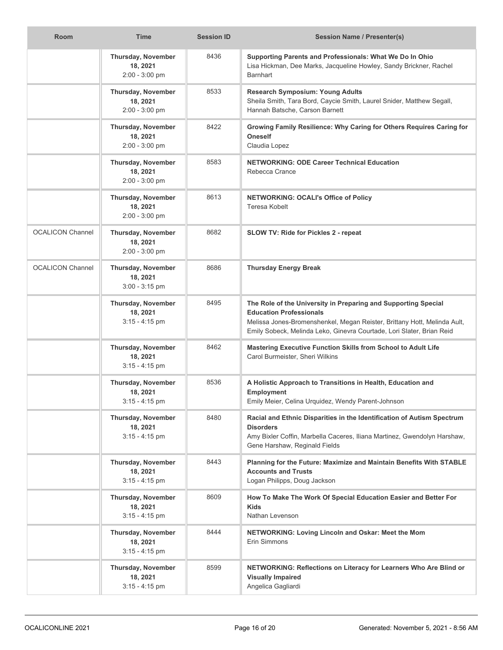| <b>Room</b>             | <b>Time</b>                                               | <b>Session ID</b> | <b>Session Name / Presenter(s)</b>                                                                                                                                                                                                                    |
|-------------------------|-----------------------------------------------------------|-------------------|-------------------------------------------------------------------------------------------------------------------------------------------------------------------------------------------------------------------------------------------------------|
|                         | Thursday, November<br>18, 2021<br>2:00 - 3:00 pm          | 8436              | Supporting Parents and Professionals: What We Do In Ohio<br>Lisa Hickman, Dee Marks, Jacqueline Howley, Sandy Brickner, Rachel<br><b>Barnhart</b>                                                                                                     |
|                         | Thursday, November<br>18, 2021<br>$2:00 - 3:00$ pm        | 8533              | <b>Research Symposium: Young Adults</b><br>Sheila Smith, Tara Bord, Caycie Smith, Laurel Snider, Matthew Segall,<br>Hannah Batsche, Carson Barnett                                                                                                    |
|                         | Thursday, November<br>18, 2021<br>2:00 - 3:00 pm          | 8422              | Growing Family Resilience: Why Caring for Others Requires Caring for<br><b>Oneself</b><br>Claudia Lopez                                                                                                                                               |
|                         | Thursday, November<br>18, 2021<br>2:00 - 3:00 pm          | 8583              | <b>NETWORKING: ODE Career Technical Education</b><br>Rebecca Crance                                                                                                                                                                                   |
|                         | Thursday, November<br>18, 2021<br>$2:00 - 3:00$ pm        | 8613              | <b>NETWORKING: OCALI's Office of Policy</b><br>Teresa Kobelt                                                                                                                                                                                          |
| <b>OCALICON Channel</b> | Thursday, November<br>18, 2021<br>2:00 - 3:00 pm          | 8682              | SLOW TV: Ride for Pickles 2 - repeat                                                                                                                                                                                                                  |
| <b>OCALICON Channel</b> | Thursday, November<br>18, 2021<br>$3:00 - 3:15$ pm        | 8686              | <b>Thursday Energy Break</b>                                                                                                                                                                                                                          |
|                         | Thursday, November<br>18, 2021<br>$3:15 - 4:15$ pm        | 8495              | The Role of the University in Preparing and Supporting Special<br><b>Education Professionals</b><br>Melissa Jones-Bromenshenkel, Megan Reister, Brittany Hott, Melinda Ault,<br>Emily Sobeck, Melinda Leko, Ginevra Courtade, Lori Slater, Brian Reid |
|                         | Thursday, November<br>18, 2021<br>$3:15 - 4:15$ pm        | 8462              | Mastering Executive Function Skills from School to Adult Life<br>Carol Burmeister, Sheri Wilkins                                                                                                                                                      |
|                         | Thursday, November<br>18, 2021<br>$3:15 - 4:15$ pm        | 8536              | A Holistic Approach to Transitions in Health, Education and<br><b>Employment</b><br>Emily Meier, Celina Urquidez, Wendy Parent-Johnson                                                                                                                |
|                         | Thursday, November<br>18, 2021<br>$3:15 - 4:15$ pm        | 8480              | Racial and Ethnic Disparities in the Identification of Autism Spectrum<br><b>Disorders</b><br>Amy Bixler Coffin, Marbella Caceres, Iliana Martinez, Gwendolyn Harshaw,<br>Gene Harshaw, Reginald Fields                                               |
|                         | Thursday, November<br>18, 2021<br>$3:15 - 4:15$ pm        | 8443              | Planning for the Future: Maximize and Maintain Benefits With STABLE<br><b>Accounts and Trusts</b><br>Logan Philipps, Doug Jackson                                                                                                                     |
|                         | Thursday, November<br>18, 2021<br>$3:15 - 4:15$ pm        | 8609              | How To Make The Work Of Special Education Easier and Better For<br>Kids<br>Nathan Levenson                                                                                                                                                            |
|                         | <b>Thursday, November</b><br>18, 2021<br>$3:15 - 4:15$ pm | 8444              | NETWORKING: Loving Lincoln and Oskar: Meet the Mom<br>Erin Simmons                                                                                                                                                                                    |
|                         | Thursday, November<br>18, 2021<br>$3:15 - 4:15$ pm        | 8599              | NETWORKING: Reflections on Literacy for Learners Who Are Blind or<br><b>Visually Impaired</b><br>Angelica Gagliardi                                                                                                                                   |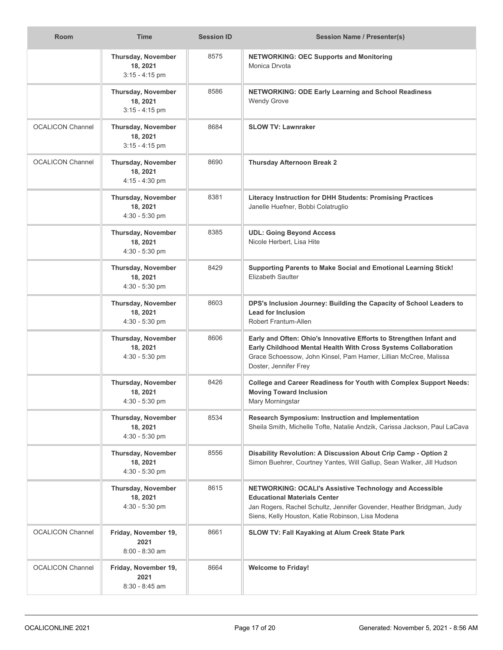| <b>Room</b>             | <b>Time</b>                                        | <b>Session ID</b> | <b>Session Name / Presenter(s)</b>                                                                                                                                                                                                 |
|-------------------------|----------------------------------------------------|-------------------|------------------------------------------------------------------------------------------------------------------------------------------------------------------------------------------------------------------------------------|
|                         | Thursday, November<br>18, 2021<br>$3:15 - 4:15$ pm | 8575              | <b>NETWORKING: OEC Supports and Monitoring</b><br>Monica Drvota                                                                                                                                                                    |
|                         | Thursday, November<br>18, 2021<br>$3:15 - 4:15$ pm | 8586              | <b>NETWORKING: ODE Early Learning and School Readiness</b><br><b>Wendy Grove</b>                                                                                                                                                   |
| <b>OCALICON Channel</b> | Thursday, November<br>18, 2021<br>$3:15 - 4:15$ pm | 8684              | <b>SLOW TV: Lawnraker</b>                                                                                                                                                                                                          |
| <b>OCALICON Channel</b> | Thursday, November<br>18, 2021<br>4:15 - 4:30 pm   | 8690              | <b>Thursday Afternoon Break 2</b>                                                                                                                                                                                                  |
|                         | Thursday, November<br>18, 2021<br>$4:30 - 5:30$ pm | 8381              | Literacy Instruction for DHH Students: Promising Practices<br>Janelle Huefner, Bobbi Colatruglio                                                                                                                                   |
|                         | Thursday, November<br>18, 2021<br>$4:30 - 5:30$ pm | 8385              | <b>UDL: Going Beyond Access</b><br>Nicole Herbert. Lisa Hite                                                                                                                                                                       |
|                         | Thursday, November<br>18, 2021<br>$4:30 - 5:30$ pm | 8429              | Supporting Parents to Make Social and Emotional Learning Stick!<br><b>Elizabeth Sautter</b>                                                                                                                                        |
|                         | Thursday, November<br>18, 2021<br>$4:30 - 5:30$ pm | 8603              | DPS's Inclusion Journey: Building the Capacity of School Leaders to<br><b>Lead for Inclusion</b><br>Robert Frantum-Allen                                                                                                           |
|                         | Thursday, November<br>18, 2021<br>4:30 - 5:30 pm   | 8606              | Early and Often: Ohio's Innovative Efforts to Strengthen Infant and<br>Early Childhood Mental Health With Cross Systems Collaboration<br>Grace Schoessow, John Kinsel, Pam Hamer, Lillian McCree, Malissa<br>Doster, Jennifer Frey |
|                         | Thursday, November<br>18, 2021<br>$4:30 - 5:30$ pm | 8426              | College and Career Readiness for Youth with Complex Support Needs:<br><b>Moving Toward Inclusion</b><br>Mary Morningstar                                                                                                           |
|                         | Thursday, November<br>18, 2021<br>$4:30 - 5:30$ pm | 8534              | Research Symposium: Instruction and Implementation<br>Sheila Smith, Michelle Tofte, Natalie Andzik, Carissa Jackson, Paul LaCava                                                                                                   |
|                         | Thursday, November<br>18, 2021<br>$4:30 - 5:30$ pm | 8556              | Disability Revolution: A Discussion About Crip Camp - Option 2<br>Simon Buehrer, Courtney Yantes, Will Gallup, Sean Walker, Jill Hudson                                                                                            |
|                         | Thursday, November<br>18, 2021<br>4:30 - 5:30 pm   | 8615              | NETWORKING: OCALI's Assistive Technology and Accessible<br><b>Educational Materials Center</b><br>Jan Rogers, Rachel Schultz, Jennifer Govender, Heather Bridgman, Judy<br>Siens, Kelly Houston, Katie Robinson, Lisa Modena       |
| <b>OCALICON Channel</b> | Friday, November 19,<br>2021<br>8:00 - 8:30 am     | 8661              | <b>SLOW TV: Fall Kayaking at Alum Creek State Park</b>                                                                                                                                                                             |
| <b>OCALICON Channel</b> | Friday, November 19,<br>2021<br>$8:30 - 8:45$ am   | 8664              | <b>Welcome to Friday!</b>                                                                                                                                                                                                          |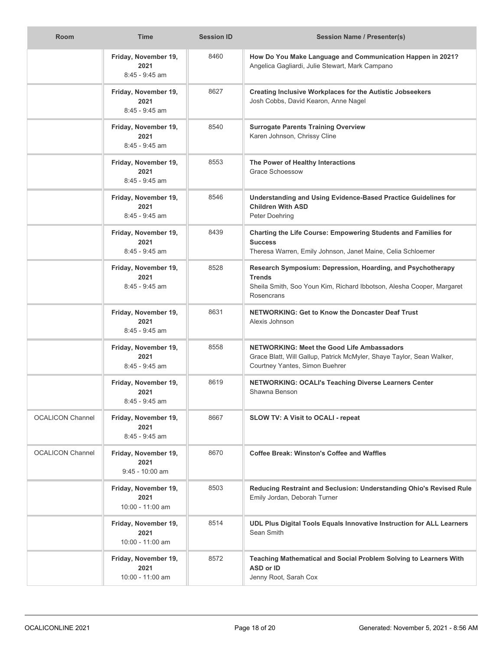| <b>Room</b>             | <b>Time</b>                                      | <b>Session ID</b> | <b>Session Name / Presenter(s)</b>                                                                                                                                  |
|-------------------------|--------------------------------------------------|-------------------|---------------------------------------------------------------------------------------------------------------------------------------------------------------------|
|                         | Friday, November 19,<br>2021<br>8:45 - 9:45 am   | 8460              | How Do You Make Language and Communication Happen in 2021?<br>Angelica Gagliardi, Julie Stewart, Mark Campano                                                       |
|                         | Friday, November 19,<br>2021<br>8:45 - 9:45 am   | 8627              | <b>Creating Inclusive Workplaces for the Autistic Jobseekers</b><br>Josh Cobbs, David Kearon, Anne Nagel                                                            |
|                         | Friday, November 19,<br>2021<br>$8:45 - 9:45$ am | 8540              | <b>Surrogate Parents Training Overview</b><br>Karen Johnson, Chrissy Cline                                                                                          |
|                         | Friday, November 19,<br>2021<br>$8:45 - 9:45$ am | 8553              | The Power of Healthy Interactions<br>Grace Schoessow                                                                                                                |
|                         | Friday, November 19,<br>2021<br>8:45 - 9:45 am   | 8546              | Understanding and Using Evidence-Based Practice Guidelines for<br><b>Children With ASD</b><br>Peter Doehring                                                        |
|                         | Friday, November 19,<br>2021<br>8:45 - 9:45 am   | 8439              | Charting the Life Course: Empowering Students and Families for<br><b>Success</b><br>Theresa Warren, Emily Johnson, Janet Maine, Celia Schloemer                     |
|                         | Friday, November 19,<br>2021<br>8:45 - 9:45 am   | 8528              | Research Symposium: Depression, Hoarding, and Psychotherapy<br><b>Trends</b><br>Sheila Smith, Soo Youn Kim, Richard Ibbotson, Alesha Cooper, Margaret<br>Rosencrans |
|                         | Friday, November 19,<br>2021<br>8:45 - 9:45 am   | 8631              | NETWORKING: Get to Know the Doncaster Deaf Trust<br>Alexis Johnson                                                                                                  |
|                         | Friday, November 19,<br>2021<br>8:45 - 9:45 am   | 8558              | <b>NETWORKING: Meet the Good Life Ambassadors</b><br>Grace Blatt, Will Gallup, Patrick McMyler, Shaye Taylor, Sean Walker,<br>Courtney Yantes, Simon Buehrer        |
|                         | Friday, November 19,<br>2021<br>8:45 - 9:45 am   | 8619              | NETWORKING: OCALI's Teaching Diverse Learners Center<br>Shawna Benson                                                                                               |
| <b>OCALICON Channel</b> | Friday, November 19,<br>2021<br>$8:45 - 9:45$ am | 8667              | <b>SLOW TV: A Visit to OCALI - repeat</b>                                                                                                                           |
| <b>OCALICON Channel</b> | Friday, November 19,<br>2021<br>9:45 - 10:00 am  | 8670              | <b>Coffee Break: Winston's Coffee and Waffles</b>                                                                                                                   |
|                         | Friday, November 19,<br>2021<br>10:00 - 11:00 am | 8503              | Reducing Restraint and Seclusion: Understanding Ohio's Revised Rule<br>Emily Jordan, Deborah Turner                                                                 |
|                         | Friday, November 19,<br>2021<br>10:00 - 11:00 am | 8514              | UDL Plus Digital Tools Equals Innovative Instruction for ALL Learners<br>Sean Smith                                                                                 |
|                         | Friday, November 19,<br>2021<br>10:00 - 11:00 am | 8572              | Teaching Mathematical and Social Problem Solving to Learners With<br><b>ASD or ID</b><br>Jenny Root, Sarah Cox                                                      |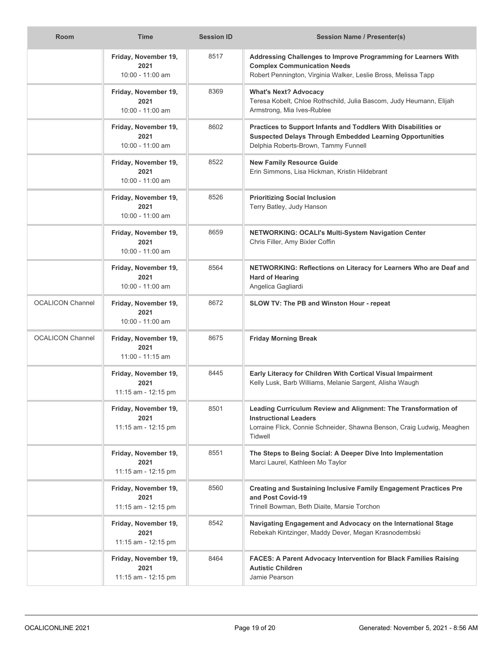| <b>Room</b>             | <b>Time</b>                                         | <b>Session ID</b> | <b>Session Name / Presenter(s)</b>                                                                                                                                                  |
|-------------------------|-----------------------------------------------------|-------------------|-------------------------------------------------------------------------------------------------------------------------------------------------------------------------------------|
|                         | Friday, November 19,<br>2021<br>$10:00 - 11:00$ am  | 8517              | Addressing Challenges to Improve Programming for Learners With<br><b>Complex Communication Needs</b><br>Robert Pennington, Virginia Walker, Leslie Bross, Melissa Tapp              |
|                         | Friday, November 19,<br>2021<br>$10:00 - 11:00$ am  | 8369              | <b>What's Next? Advocacy</b><br>Teresa Kobelt, Chloe Rothschild, Julia Bascom, Judy Heumann, Elijah<br>Armstrong, Mia Ives-Rublee                                                   |
|                         | Friday, November 19,<br>2021<br>10:00 - 11:00 am    | 8602              | Practices to Support Infants and Toddlers With Disabilities or<br><b>Suspected Delays Through Embedded Learning Opportunities</b><br>Delphia Roberts-Brown, Tammy Funnell           |
|                         | Friday, November 19,<br>2021<br>10:00 - 11:00 am    | 8522              | <b>New Family Resource Guide</b><br>Erin Simmons, Lisa Hickman, Kristin Hildebrant                                                                                                  |
|                         | Friday, November 19,<br>2021<br>10:00 - 11:00 am    | 8526              | <b>Prioritizing Social Inclusion</b><br>Terry Batley, Judy Hanson                                                                                                                   |
|                         | Friday, November 19,<br>2021<br>10:00 - 11:00 am    | 8659              | NETWORKING: OCALI's Multi-System Navigation Center<br>Chris Filler, Amy Bixler Coffin                                                                                               |
|                         | Friday, November 19,<br>2021<br>10:00 - 11:00 am    | 8564              | NETWORKING: Reflections on Literacy for Learners Who are Deaf and<br><b>Hard of Hearing</b><br>Angelica Gagliardi                                                                   |
| <b>OCALICON Channel</b> | Friday, November 19,<br>2021<br>10:00 - 11:00 am    | 8672              | SLOW TV: The PB and Winston Hour - repeat                                                                                                                                           |
| <b>OCALICON Channel</b> | Friday, November 19,<br>2021<br>11:00 - 11:15 am    | 8675              | <b>Friday Morning Break</b>                                                                                                                                                         |
|                         | Friday, November 19,<br>2021<br>11:15 am - 12:15 pm | 8445              | Early Literacy for Children With Cortical Visual Impairment<br>Kelly Lusk, Barb Williams, Melanie Sargent, Alisha Waugh                                                             |
|                         | Friday, November 19,<br>2021<br>11:15 am - 12:15 pm | 8501              | Leading Curriculum Review and Alignment: The Transformation of<br><b>Instructional Leaders</b><br>Lorraine Flick, Connie Schneider, Shawna Benson, Craig Ludwig, Meaghen<br>Tidwell |
|                         | Friday, November 19,<br>2021<br>11:15 am - 12:15 pm | 8551              | The Steps to Being Social: A Deeper Dive Into Implementation<br>Marci Laurel, Kathleen Mo Taylor                                                                                    |
|                         | Friday, November 19,<br>2021<br>11:15 am - 12:15 pm | 8560              | <b>Creating and Sustaining Inclusive Family Engagement Practices Pre</b><br>and Post Covid-19<br>Trinell Bowman, Beth Diaite, Marsie Torchon                                        |
|                         | Friday, November 19,<br>2021<br>11:15 am - 12:15 pm | 8542              | Navigating Engagement and Advocacy on the International Stage<br>Rebekah Kintzinger, Maddy Dever, Megan Krasnodembski                                                               |
|                         | Friday, November 19,<br>2021<br>11:15 am - 12:15 pm | 8464              | <b>FACES: A Parent Advocacy Intervention for Black Families Raising</b><br><b>Autistic Children</b><br>Jamie Pearson                                                                |